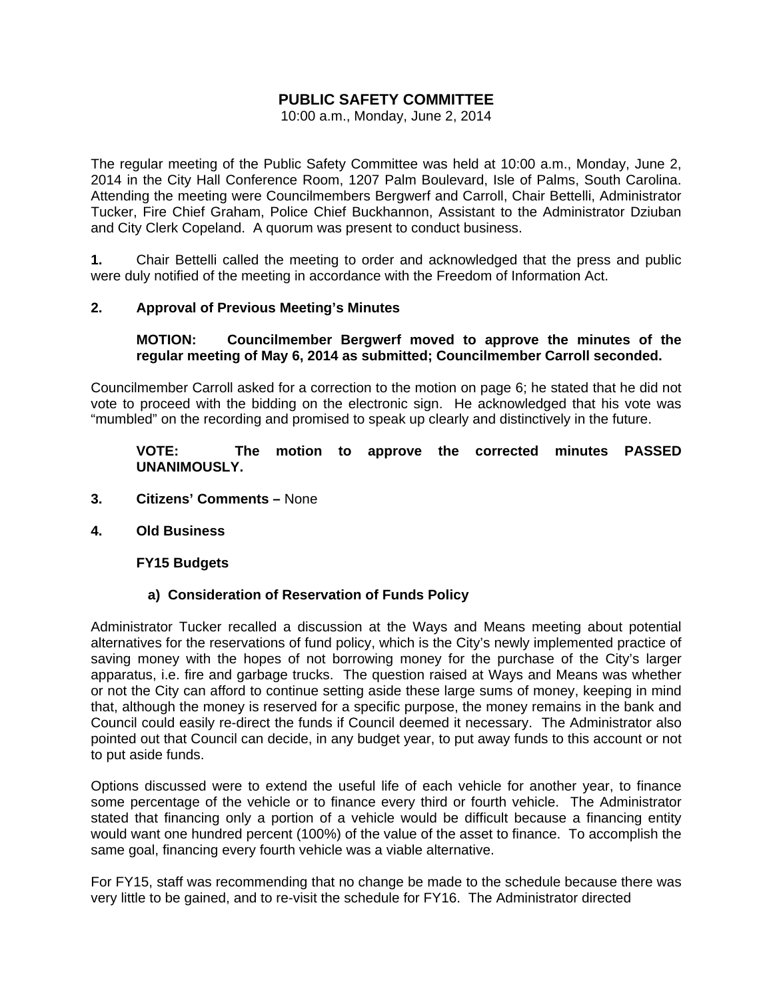# **PUBLIC SAFETY COMMITTEE**

10:00 a.m., Monday, June 2, 2014

The regular meeting of the Public Safety Committee was held at 10:00 a.m., Monday, June 2, 2014 in the City Hall Conference Room, 1207 Palm Boulevard, Isle of Palms, South Carolina. Attending the meeting were Councilmembers Bergwerf and Carroll, Chair Bettelli, Administrator Tucker, Fire Chief Graham, Police Chief Buckhannon, Assistant to the Administrator Dziuban and City Clerk Copeland. A quorum was present to conduct business.

**1.** Chair Bettelli called the meeting to order and acknowledged that the press and public were duly notified of the meeting in accordance with the Freedom of Information Act.

## **2. Approval of Previous Meeting's Minutes**

#### **MOTION: Councilmember Bergwerf moved to approve the minutes of the regular meeting of May 6, 2014 as submitted; Councilmember Carroll seconded.**

Councilmember Carroll asked for a correction to the motion on page 6; he stated that he did not vote to proceed with the bidding on the electronic sign. He acknowledged that his vote was "mumbled" on the recording and promised to speak up clearly and distinctively in the future.

## **VOTE: The motion to approve the corrected minutes PASSED UNANIMOUSLY.**

- **3. Citizens' Comments** None
- **4. Old Business**

#### **FY15 Budgets**

#### **a) Consideration of Reservation of Funds Policy**

Administrator Tucker recalled a discussion at the Ways and Means meeting about potential alternatives for the reservations of fund policy, which is the City's newly implemented practice of saving money with the hopes of not borrowing money for the purchase of the City's larger apparatus, i.e. fire and garbage trucks. The question raised at Ways and Means was whether or not the City can afford to continue setting aside these large sums of money, keeping in mind that, although the money is reserved for a specific purpose, the money remains in the bank and Council could easily re-direct the funds if Council deemed it necessary. The Administrator also pointed out that Council can decide, in any budget year, to put away funds to this account or not to put aside funds.

Options discussed were to extend the useful life of each vehicle for another year, to finance some percentage of the vehicle or to finance every third or fourth vehicle. The Administrator stated that financing only a portion of a vehicle would be difficult because a financing entity would want one hundred percent (100%) of the value of the asset to finance. To accomplish the same goal, financing every fourth vehicle was a viable alternative.

For FY15, staff was recommending that no change be made to the schedule because there was very little to be gained, and to re-visit the schedule for FY16. The Administrator directed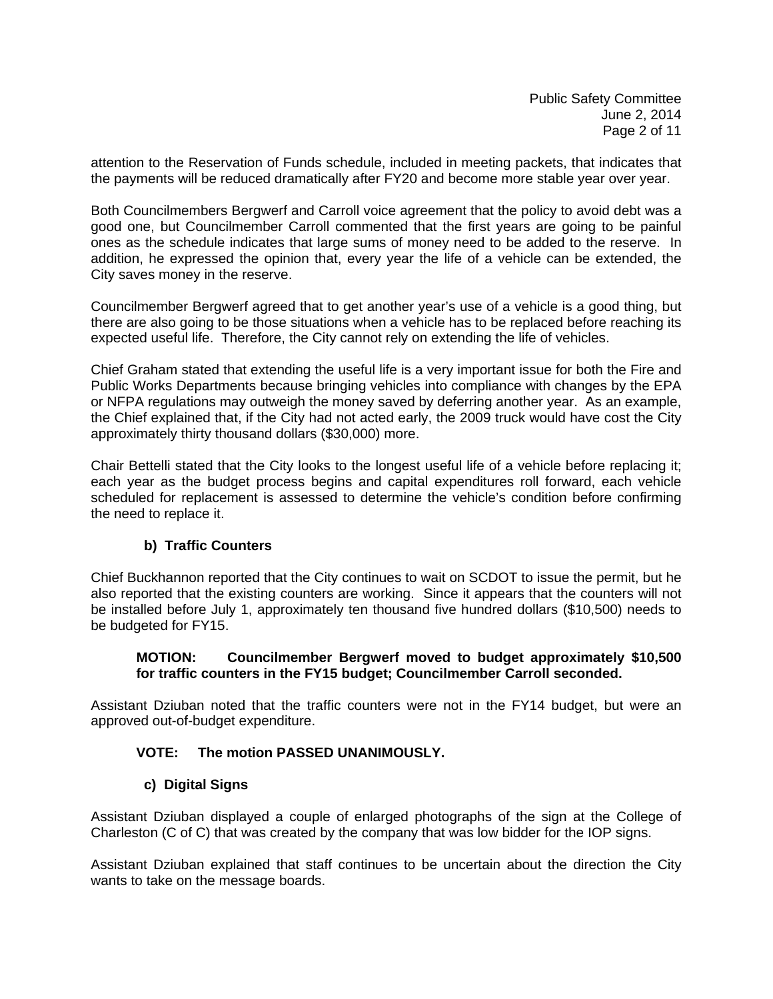attention to the Reservation of Funds schedule, included in meeting packets, that indicates that the payments will be reduced dramatically after FY20 and become more stable year over year.

Both Councilmembers Bergwerf and Carroll voice agreement that the policy to avoid debt was a good one, but Councilmember Carroll commented that the first years are going to be painful ones as the schedule indicates that large sums of money need to be added to the reserve. In addition, he expressed the opinion that, every year the life of a vehicle can be extended, the City saves money in the reserve.

Councilmember Bergwerf agreed that to get another year's use of a vehicle is a good thing, but there are also going to be those situations when a vehicle has to be replaced before reaching its expected useful life. Therefore, the City cannot rely on extending the life of vehicles.

Chief Graham stated that extending the useful life is a very important issue for both the Fire and Public Works Departments because bringing vehicles into compliance with changes by the EPA or NFPA regulations may outweigh the money saved by deferring another year. As an example, the Chief explained that, if the City had not acted early, the 2009 truck would have cost the City approximately thirty thousand dollars (\$30,000) more.

Chair Bettelli stated that the City looks to the longest useful life of a vehicle before replacing it; each year as the budget process begins and capital expenditures roll forward, each vehicle scheduled for replacement is assessed to determine the vehicle's condition before confirming the need to replace it.

## **b) Traffic Counters**

Chief Buckhannon reported that the City continues to wait on SCDOT to issue the permit, but he also reported that the existing counters are working. Since it appears that the counters will not be installed before July 1, approximately ten thousand five hundred dollars (\$10,500) needs to be budgeted for FY15.

### **MOTION: Councilmember Bergwerf moved to budget approximately \$10,500 for traffic counters in the FY15 budget; Councilmember Carroll seconded.**

Assistant Dziuban noted that the traffic counters were not in the FY14 budget, but were an approved out-of-budget expenditure.

## **VOTE: The motion PASSED UNANIMOUSLY.**

## **c) Digital Signs**

Assistant Dziuban displayed a couple of enlarged photographs of the sign at the College of Charleston (C of C) that was created by the company that was low bidder for the IOP signs.

Assistant Dziuban explained that staff continues to be uncertain about the direction the City wants to take on the message boards.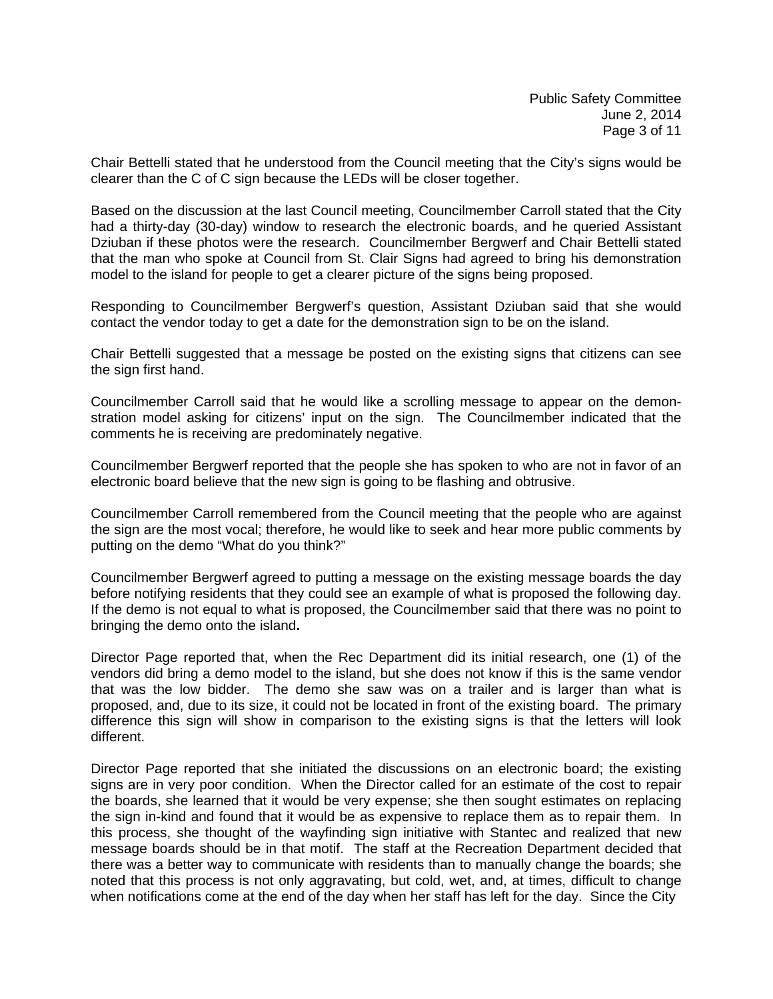Chair Bettelli stated that he understood from the Council meeting that the City's signs would be clearer than the C of C sign because the LEDs will be closer together.

Based on the discussion at the last Council meeting, Councilmember Carroll stated that the City had a thirty-day (30-day) window to research the electronic boards, and he queried Assistant Dziuban if these photos were the research. Councilmember Bergwerf and Chair Bettelli stated that the man who spoke at Council from St. Clair Signs had agreed to bring his demonstration model to the island for people to get a clearer picture of the signs being proposed.

Responding to Councilmember Bergwerf's question, Assistant Dziuban said that she would contact the vendor today to get a date for the demonstration sign to be on the island.

Chair Bettelli suggested that a message be posted on the existing signs that citizens can see the sign first hand.

Councilmember Carroll said that he would like a scrolling message to appear on the demonstration model asking for citizens' input on the sign. The Councilmember indicated that the comments he is receiving are predominately negative.

Councilmember Bergwerf reported that the people she has spoken to who are not in favor of an electronic board believe that the new sign is going to be flashing and obtrusive.

Councilmember Carroll remembered from the Council meeting that the people who are against the sign are the most vocal; therefore, he would like to seek and hear more public comments by putting on the demo "What do you think?"

Councilmember Bergwerf agreed to putting a message on the existing message boards the day before notifying residents that they could see an example of what is proposed the following day. If the demo is not equal to what is proposed, the Councilmember said that there was no point to bringing the demo onto the island**.** 

Director Page reported that, when the Rec Department did its initial research, one (1) of the vendors did bring a demo model to the island, but she does not know if this is the same vendor that was the low bidder. The demo she saw was on a trailer and is larger than what is proposed, and, due to its size, it could not be located in front of the existing board. The primary difference this sign will show in comparison to the existing signs is that the letters will look different.

Director Page reported that she initiated the discussions on an electronic board; the existing signs are in very poor condition. When the Director called for an estimate of the cost to repair the boards, she learned that it would be very expense; she then sought estimates on replacing the sign in-kind and found that it would be as expensive to replace them as to repair them. In this process, she thought of the wayfinding sign initiative with Stantec and realized that new message boards should be in that motif. The staff at the Recreation Department decided that there was a better way to communicate with residents than to manually change the boards; she noted that this process is not only aggravating, but cold, wet, and, at times, difficult to change when notifications come at the end of the day when her staff has left for the day. Since the City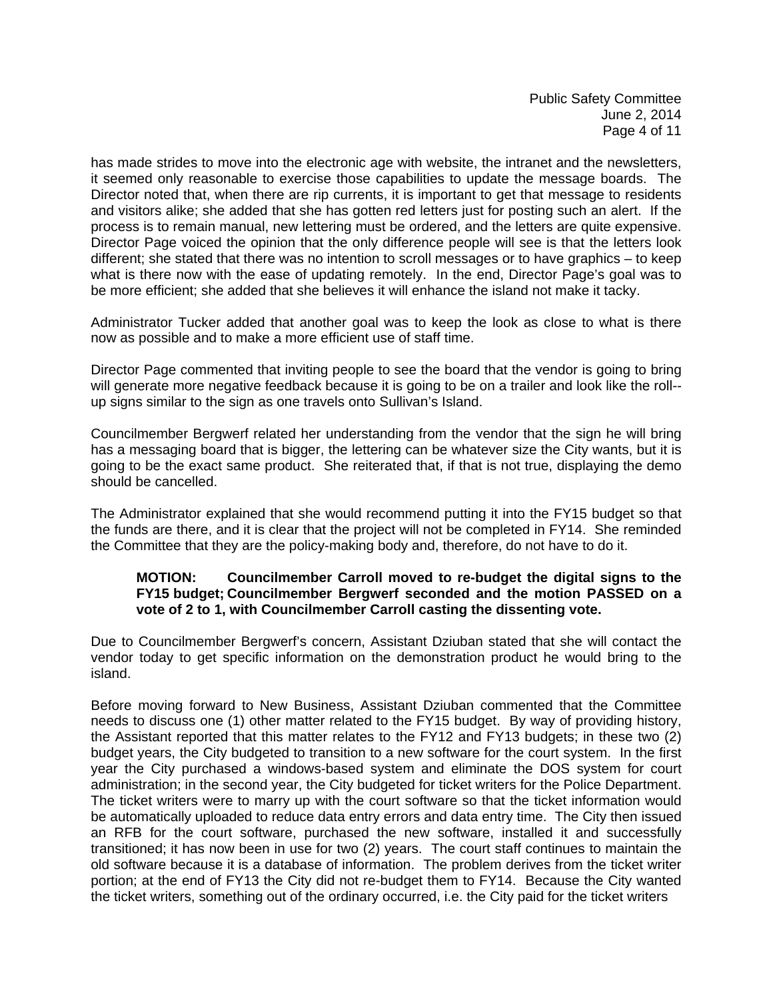has made strides to move into the electronic age with website, the intranet and the newsletters, it seemed only reasonable to exercise those capabilities to update the message boards. The Director noted that, when there are rip currents, it is important to get that message to residents and visitors alike; she added that she has gotten red letters just for posting such an alert. If the process is to remain manual, new lettering must be ordered, and the letters are quite expensive. Director Page voiced the opinion that the only difference people will see is that the letters look different; she stated that there was no intention to scroll messages or to have graphics – to keep what is there now with the ease of updating remotely. In the end, Director Page's goal was to be more efficient; she added that she believes it will enhance the island not make it tacky.

Administrator Tucker added that another goal was to keep the look as close to what is there now as possible and to make a more efficient use of staff time.

Director Page commented that inviting people to see the board that the vendor is going to bring will generate more negative feedback because it is going to be on a trailer and look like the roll- up signs similar to the sign as one travels onto Sullivan's Island.

Councilmember Bergwerf related her understanding from the vendor that the sign he will bring has a messaging board that is bigger, the lettering can be whatever size the City wants, but it is going to be the exact same product. She reiterated that, if that is not true, displaying the demo should be cancelled.

The Administrator explained that she would recommend putting it into the FY15 budget so that the funds are there, and it is clear that the project will not be completed in FY14. She reminded the Committee that they are the policy-making body and, therefore, do not have to do it.

## **MOTION: Councilmember Carroll moved to re-budget the digital signs to the FY15 budget; Councilmember Bergwerf seconded and the motion PASSED on a vote of 2 to 1, with Councilmember Carroll casting the dissenting vote.**

Due to Councilmember Bergwerf's concern, Assistant Dziuban stated that she will contact the vendor today to get specific information on the demonstration product he would bring to the island.

Before moving forward to New Business, Assistant Dziuban commented that the Committee needs to discuss one (1) other matter related to the FY15 budget. By way of providing history, the Assistant reported that this matter relates to the FY12 and FY13 budgets; in these two (2) budget years, the City budgeted to transition to a new software for the court system. In the first year the City purchased a windows-based system and eliminate the DOS system for court administration; in the second year, the City budgeted for ticket writers for the Police Department. The ticket writers were to marry up with the court software so that the ticket information would be automatically uploaded to reduce data entry errors and data entry time. The City then issued an RFB for the court software, purchased the new software, installed it and successfully transitioned; it has now been in use for two (2) years. The court staff continues to maintain the old software because it is a database of information. The problem derives from the ticket writer portion; at the end of FY13 the City did not re-budget them to FY14. Because the City wanted the ticket writers, something out of the ordinary occurred, i.e. the City paid for the ticket writers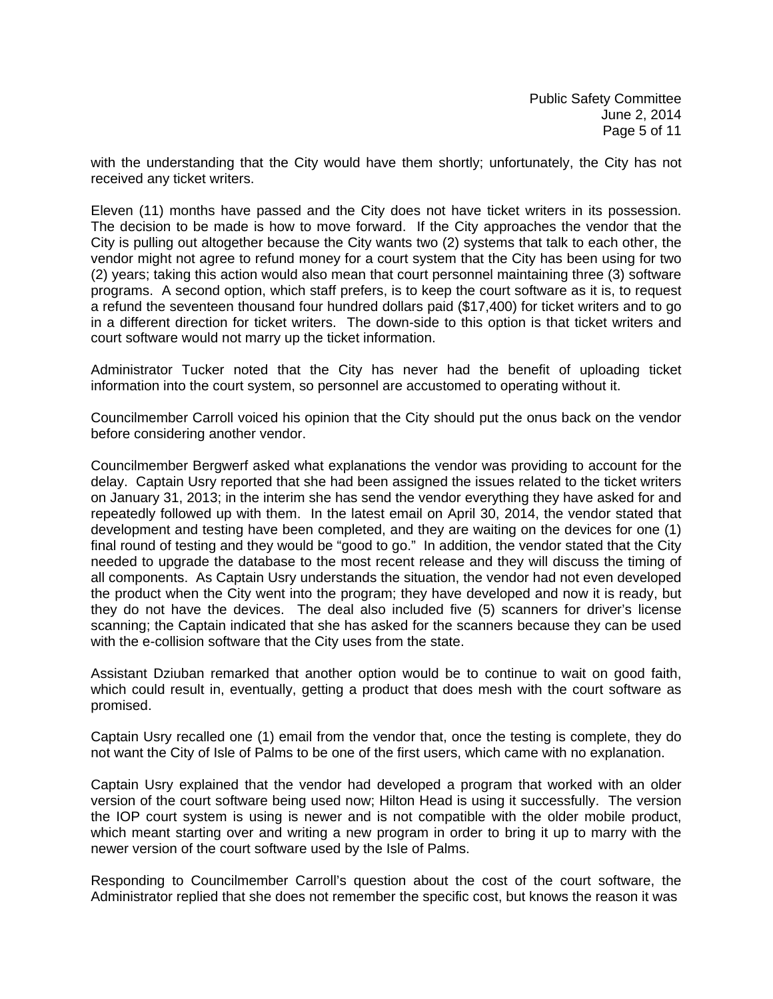with the understanding that the City would have them shortly; unfortunately, the City has not received any ticket writers.

Eleven (11) months have passed and the City does not have ticket writers in its possession. The decision to be made is how to move forward. If the City approaches the vendor that the City is pulling out altogether because the City wants two (2) systems that talk to each other, the vendor might not agree to refund money for a court system that the City has been using for two (2) years; taking this action would also mean that court personnel maintaining three (3) software programs. A second option, which staff prefers, is to keep the court software as it is, to request a refund the seventeen thousand four hundred dollars paid (\$17,400) for ticket writers and to go in a different direction for ticket writers. The down-side to this option is that ticket writers and court software would not marry up the ticket information.

Administrator Tucker noted that the City has never had the benefit of uploading ticket information into the court system, so personnel are accustomed to operating without it.

Councilmember Carroll voiced his opinion that the City should put the onus back on the vendor before considering another vendor.

Councilmember Bergwerf asked what explanations the vendor was providing to account for the delay. Captain Usry reported that she had been assigned the issues related to the ticket writers on January 31, 2013; in the interim she has send the vendor everything they have asked for and repeatedly followed up with them. In the latest email on April 30, 2014, the vendor stated that development and testing have been completed, and they are waiting on the devices for one (1) final round of testing and they would be "good to go." In addition, the vendor stated that the City needed to upgrade the database to the most recent release and they will discuss the timing of all components. As Captain Usry understands the situation, the vendor had not even developed the product when the City went into the program; they have developed and now it is ready, but they do not have the devices. The deal also included five (5) scanners for driver's license scanning; the Captain indicated that she has asked for the scanners because they can be used with the e-collision software that the City uses from the state.

Assistant Dziuban remarked that another option would be to continue to wait on good faith, which could result in, eventually, getting a product that does mesh with the court software as promised.

Captain Usry recalled one (1) email from the vendor that, once the testing is complete, they do not want the City of Isle of Palms to be one of the first users, which came with no explanation.

Captain Usry explained that the vendor had developed a program that worked with an older version of the court software being used now; Hilton Head is using it successfully. The version the IOP court system is using is newer and is not compatible with the older mobile product, which meant starting over and writing a new program in order to bring it up to marry with the newer version of the court software used by the Isle of Palms.

Responding to Councilmember Carroll's question about the cost of the court software, the Administrator replied that she does not remember the specific cost, but knows the reason it was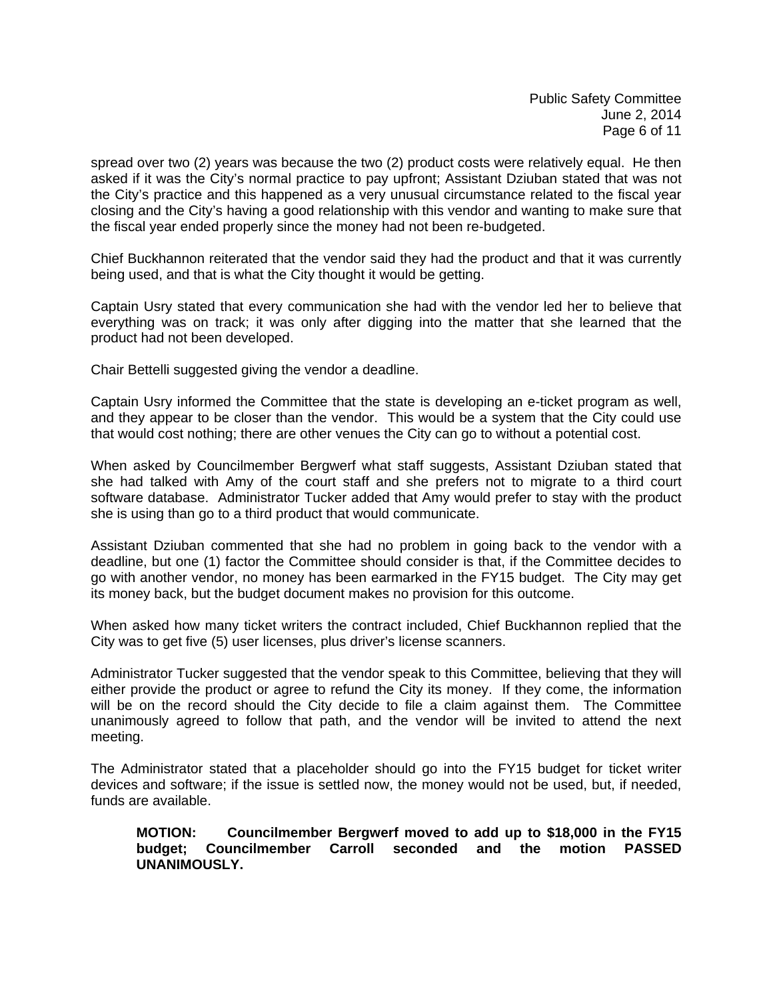spread over two (2) years was because the two (2) product costs were relatively equal. He then asked if it was the City's normal practice to pay upfront; Assistant Dziuban stated that was not the City's practice and this happened as a very unusual circumstance related to the fiscal year closing and the City's having a good relationship with this vendor and wanting to make sure that the fiscal year ended properly since the money had not been re-budgeted.

Chief Buckhannon reiterated that the vendor said they had the product and that it was currently being used, and that is what the City thought it would be getting.

Captain Usry stated that every communication she had with the vendor led her to believe that everything was on track; it was only after digging into the matter that she learned that the product had not been developed.

Chair Bettelli suggested giving the vendor a deadline.

Captain Usry informed the Committee that the state is developing an e-ticket program as well, and they appear to be closer than the vendor. This would be a system that the City could use that would cost nothing; there are other venues the City can go to without a potential cost.

When asked by Councilmember Bergwerf what staff suggests, Assistant Dziuban stated that she had talked with Amy of the court staff and she prefers not to migrate to a third court software database. Administrator Tucker added that Amy would prefer to stay with the product she is using than go to a third product that would communicate.

Assistant Dziuban commented that she had no problem in going back to the vendor with a deadline, but one (1) factor the Committee should consider is that, if the Committee decides to go with another vendor, no money has been earmarked in the FY15 budget. The City may get its money back, but the budget document makes no provision for this outcome.

When asked how many ticket writers the contract included, Chief Buckhannon replied that the City was to get five (5) user licenses, plus driver's license scanners.

Administrator Tucker suggested that the vendor speak to this Committee, believing that they will either provide the product or agree to refund the City its money. If they come, the information will be on the record should the City decide to file a claim against them. The Committee unanimously agreed to follow that path, and the vendor will be invited to attend the next meeting.

The Administrator stated that a placeholder should go into the FY15 budget for ticket writer devices and software; if the issue is settled now, the money would not be used, but, if needed, funds are available.

#### **MOTION: Councilmember Bergwerf moved to add up to \$18,000 in the FY15 budget; Councilmember Carroll seconded and the motion PASSED UNANIMOUSLY.**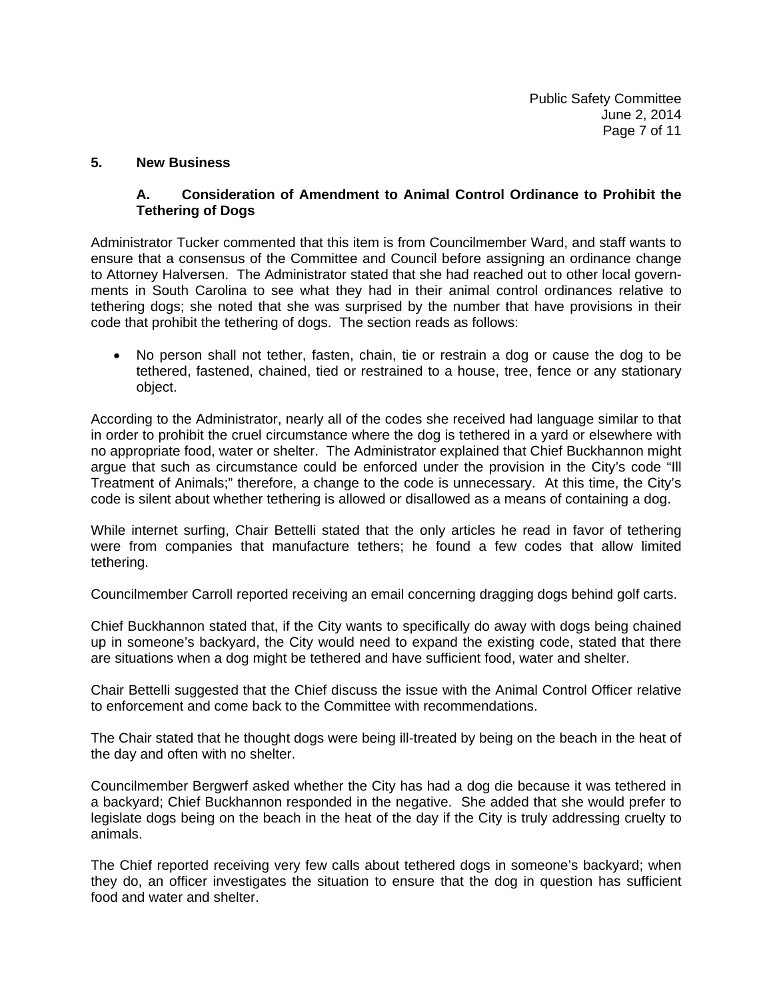### **5. New Business**

## **A. Consideration of Amendment to Animal Control Ordinance to Prohibit the Tethering of Dogs**

Administrator Tucker commented that this item is from Councilmember Ward, and staff wants to ensure that a consensus of the Committee and Council before assigning an ordinance change to Attorney Halversen. The Administrator stated that she had reached out to other local governments in South Carolina to see what they had in their animal control ordinances relative to tethering dogs; she noted that she was surprised by the number that have provisions in their code that prohibit the tethering of dogs. The section reads as follows:

• No person shall not tether, fasten, chain, tie or restrain a dog or cause the dog to be tethered, fastened, chained, tied or restrained to a house, tree, fence or any stationary object.

According to the Administrator, nearly all of the codes she received had language similar to that in order to prohibit the cruel circumstance where the dog is tethered in a yard or elsewhere with no appropriate food, water or shelter. The Administrator explained that Chief Buckhannon might argue that such as circumstance could be enforced under the provision in the City's code "Ill Treatment of Animals;" therefore, a change to the code is unnecessary. At this time, the City's code is silent about whether tethering is allowed or disallowed as a means of containing a dog.

While internet surfing, Chair Bettelli stated that the only articles he read in favor of tethering were from companies that manufacture tethers; he found a few codes that allow limited tethering.

Councilmember Carroll reported receiving an email concerning dragging dogs behind golf carts.

Chief Buckhannon stated that, if the City wants to specifically do away with dogs being chained up in someone's backyard, the City would need to expand the existing code, stated that there are situations when a dog might be tethered and have sufficient food, water and shelter.

Chair Bettelli suggested that the Chief discuss the issue with the Animal Control Officer relative to enforcement and come back to the Committee with recommendations.

The Chair stated that he thought dogs were being ill-treated by being on the beach in the heat of the day and often with no shelter.

Councilmember Bergwerf asked whether the City has had a dog die because it was tethered in a backyard; Chief Buckhannon responded in the negative. She added that she would prefer to legislate dogs being on the beach in the heat of the day if the City is truly addressing cruelty to animals.

The Chief reported receiving very few calls about tethered dogs in someone's backyard; when they do, an officer investigates the situation to ensure that the dog in question has sufficient food and water and shelter.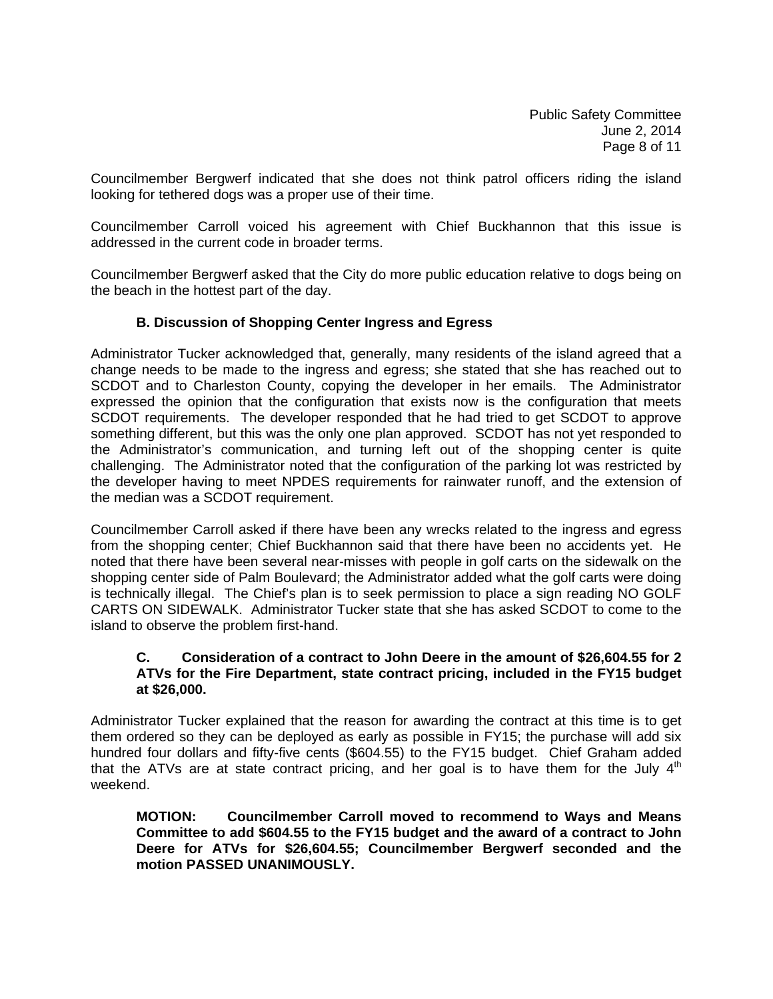Public Safety Committee June 2, 2014 Page 8 of 11

Councilmember Bergwerf indicated that she does not think patrol officers riding the island looking for tethered dogs was a proper use of their time.

Councilmember Carroll voiced his agreement with Chief Buckhannon that this issue is addressed in the current code in broader terms.

Councilmember Bergwerf asked that the City do more public education relative to dogs being on the beach in the hottest part of the day.

### **B. Discussion of Shopping Center Ingress and Egress**

Administrator Tucker acknowledged that, generally, many residents of the island agreed that a change needs to be made to the ingress and egress; she stated that she has reached out to SCDOT and to Charleston County, copying the developer in her emails. The Administrator expressed the opinion that the configuration that exists now is the configuration that meets SCDOT requirements. The developer responded that he had tried to get SCDOT to approve something different, but this was the only one plan approved. SCDOT has not yet responded to the Administrator's communication, and turning left out of the shopping center is quite challenging. The Administrator noted that the configuration of the parking lot was restricted by the developer having to meet NPDES requirements for rainwater runoff, and the extension of the median was a SCDOT requirement.

Councilmember Carroll asked if there have been any wrecks related to the ingress and egress from the shopping center; Chief Buckhannon said that there have been no accidents yet. He noted that there have been several near-misses with people in golf carts on the sidewalk on the shopping center side of Palm Boulevard; the Administrator added what the golf carts were doing is technically illegal. The Chief's plan is to seek permission to place a sign reading NO GOLF CARTS ON SIDEWALK. Administrator Tucker state that she has asked SCDOT to come to the island to observe the problem first-hand.

#### **C. Consideration of a contract to John Deere in the amount of \$26,604.55 for 2 ATVs for the Fire Department, state contract pricing, included in the FY15 budget at \$26,000.**

Administrator Tucker explained that the reason for awarding the contract at this time is to get them ordered so they can be deployed as early as possible in FY15; the purchase will add six hundred four dollars and fifty-five cents (\$604.55) to the FY15 budget. Chief Graham added that the ATVs are at state contract pricing, and her goal is to have them for the July  $4<sup>th</sup>$ weekend.

**MOTION: Councilmember Carroll moved to recommend to Ways and Means Committee to add \$604.55 to the FY15 budget and the award of a contract to John Deere for ATVs for \$26,604.55; Councilmember Bergwerf seconded and the motion PASSED UNANIMOUSLY.**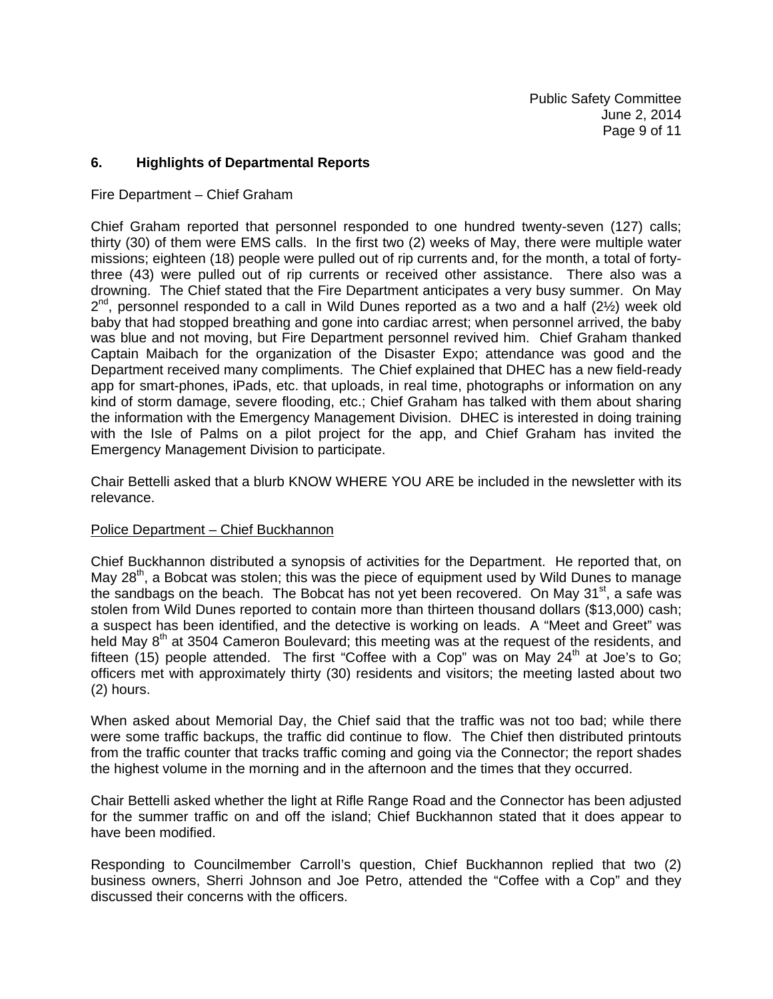### **6. Highlights of Departmental Reports**

#### Fire Department – Chief Graham

Chief Graham reported that personnel responded to one hundred twenty-seven (127) calls; thirty (30) of them were EMS calls. In the first two (2) weeks of May, there were multiple water missions; eighteen (18) people were pulled out of rip currents and, for the month, a total of fortythree (43) were pulled out of rip currents or received other assistance. There also was a drowning. The Chief stated that the Fire Department anticipates a very busy summer. On May  $2^{nd}$ , personnel responded to a call in Wild Dunes reported as a two and a half (2 $\frac{1}{2}$ ) week old baby that had stopped breathing and gone into cardiac arrest; when personnel arrived, the baby was blue and not moving, but Fire Department personnel revived him. Chief Graham thanked Captain Maibach for the organization of the Disaster Expo; attendance was good and the Department received many compliments. The Chief explained that DHEC has a new field-ready app for smart-phones, iPads, etc. that uploads, in real time, photographs or information on any kind of storm damage, severe flooding, etc.; Chief Graham has talked with them about sharing the information with the Emergency Management Division. DHEC is interested in doing training with the Isle of Palms on a pilot project for the app, and Chief Graham has invited the Emergency Management Division to participate.

Chair Bettelli asked that a blurb KNOW WHERE YOU ARE be included in the newsletter with its relevance.

#### Police Department – Chief Buckhannon

Chief Buckhannon distributed a synopsis of activities for the Department. He reported that, on May  $28<sup>th</sup>$ , a Bobcat was stolen; this was the piece of equipment used by Wild Dunes to manage the sandbags on the beach. The Bobcat has not yet been recovered. On May  $31<sup>st</sup>$ , a safe was stolen from Wild Dunes reported to contain more than thirteen thousand dollars (\$13,000) cash; a suspect has been identified, and the detective is working on leads. A "Meet and Greet" was held May 8<sup>th</sup> at 3504 Cameron Boulevard; this meeting was at the request of the residents, and fifteen (15) people attended. The first "Coffee with a Cop" was on May  $24<sup>th</sup>$  at Joe's to Go; officers met with approximately thirty (30) residents and visitors; the meeting lasted about two (2) hours.

When asked about Memorial Day, the Chief said that the traffic was not too bad; while there were some traffic backups, the traffic did continue to flow. The Chief then distributed printouts from the traffic counter that tracks traffic coming and going via the Connector; the report shades the highest volume in the morning and in the afternoon and the times that they occurred.

Chair Bettelli asked whether the light at Rifle Range Road and the Connector has been adjusted for the summer traffic on and off the island; Chief Buckhannon stated that it does appear to have been modified.

Responding to Councilmember Carroll's question, Chief Buckhannon replied that two (2) business owners, Sherri Johnson and Joe Petro, attended the "Coffee with a Cop" and they discussed their concerns with the officers.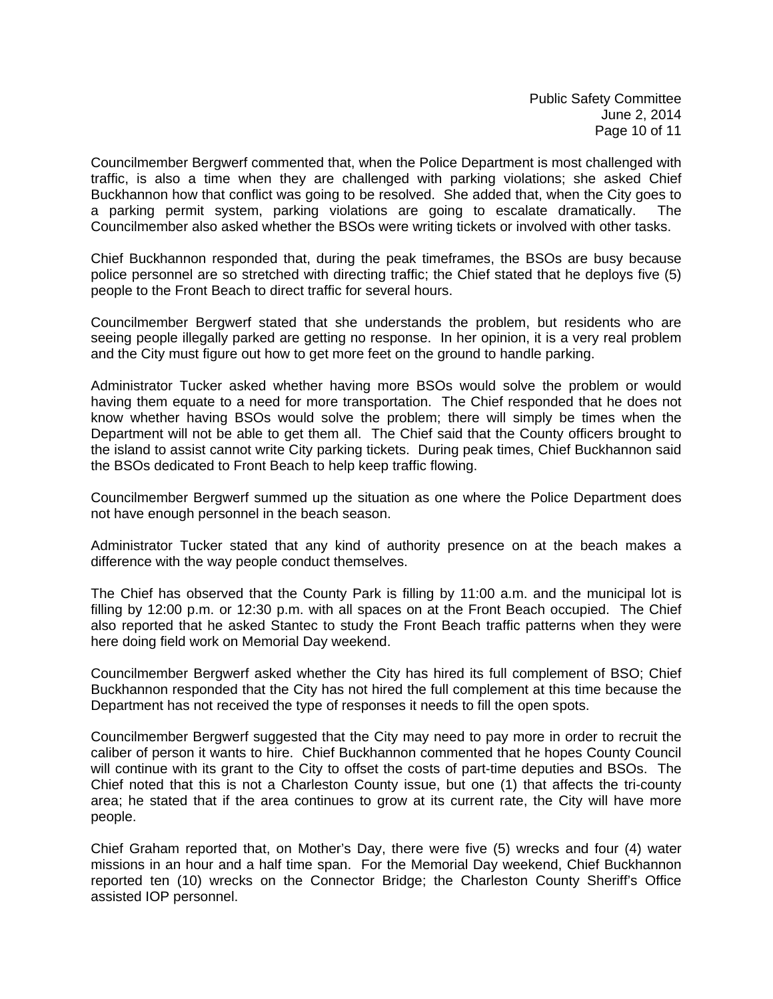Councilmember Bergwerf commented that, when the Police Department is most challenged with traffic, is also a time when they are challenged with parking violations; she asked Chief Buckhannon how that conflict was going to be resolved. She added that, when the City goes to a parking permit system, parking violations are going to escalate dramatically. The Councilmember also asked whether the BSOs were writing tickets or involved with other tasks.

Chief Buckhannon responded that, during the peak timeframes, the BSOs are busy because police personnel are so stretched with directing traffic; the Chief stated that he deploys five (5) people to the Front Beach to direct traffic for several hours.

Councilmember Bergwerf stated that she understands the problem, but residents who are seeing people illegally parked are getting no response. In her opinion, it is a very real problem and the City must figure out how to get more feet on the ground to handle parking.

Administrator Tucker asked whether having more BSOs would solve the problem or would having them equate to a need for more transportation. The Chief responded that he does not know whether having BSOs would solve the problem; there will simply be times when the Department will not be able to get them all. The Chief said that the County officers brought to the island to assist cannot write City parking tickets. During peak times, Chief Buckhannon said the BSOs dedicated to Front Beach to help keep traffic flowing.

Councilmember Bergwerf summed up the situation as one where the Police Department does not have enough personnel in the beach season.

Administrator Tucker stated that any kind of authority presence on at the beach makes a difference with the way people conduct themselves.

The Chief has observed that the County Park is filling by 11:00 a.m. and the municipal lot is filling by 12:00 p.m. or 12:30 p.m. with all spaces on at the Front Beach occupied. The Chief also reported that he asked Stantec to study the Front Beach traffic patterns when they were here doing field work on Memorial Day weekend.

Councilmember Bergwerf asked whether the City has hired its full complement of BSO; Chief Buckhannon responded that the City has not hired the full complement at this time because the Department has not received the type of responses it needs to fill the open spots.

Councilmember Bergwerf suggested that the City may need to pay more in order to recruit the caliber of person it wants to hire. Chief Buckhannon commented that he hopes County Council will continue with its grant to the City to offset the costs of part-time deputies and BSOs. The Chief noted that this is not a Charleston County issue, but one (1) that affects the tri-county area; he stated that if the area continues to grow at its current rate, the City will have more people.

Chief Graham reported that, on Mother's Day, there were five (5) wrecks and four (4) water missions in an hour and a half time span. For the Memorial Day weekend, Chief Buckhannon reported ten (10) wrecks on the Connector Bridge; the Charleston County Sheriff's Office assisted IOP personnel.